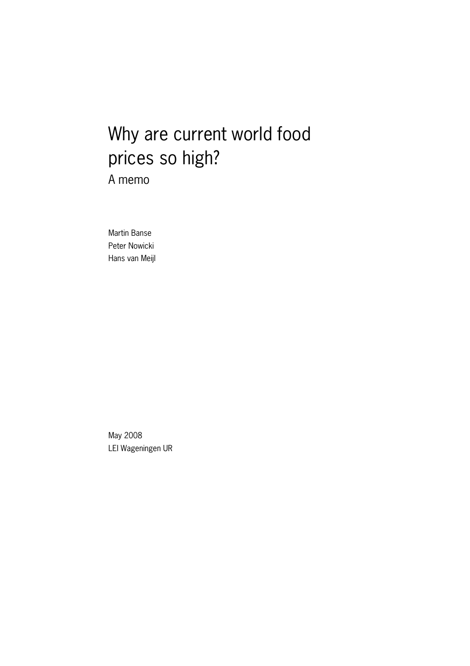# Why are current world food prices so high? A memo

Martin Banse Peter Nowicki Hans van Meijl

May 2008 LEI Wageningen UR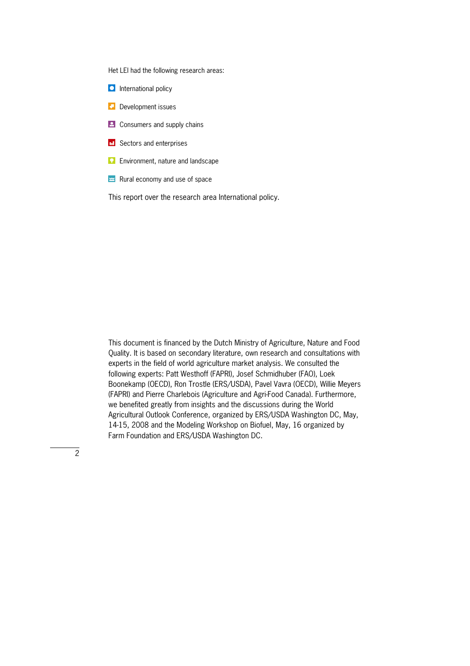Het LEI had the following research areas:

- **O** International policy
- **Development issues**
- **E** Consumers and supply chains
- **In** Sectors and enterprises
- **Environment, nature and landscape**
- $\blacktriangleright$  Rural economy and use of space

This report over the research area International policy.

This document is financed by the Dutch Ministry of Agriculture, Nature and Food Quality. It is based on secondary literature, own research and consultations with experts in the field of world agriculture market analysis. We consulted the following experts: Patt Westhoff (FAPRI), Josef Schmidhuber (FAO), Loek Boonekamp (OECD), Ron Trostle (ERS/USDA), Pavel Vavra (OECD), Willie Meyers (FAPRI) and Pierre Charlebois (Agriculture and Agri-Food Canada). Furthermore, we benefited greatly from insights and the discussions during the World Agricultural Outlook Conference, organized by ERS/USDA Washington DC, May, 14-15, 2008 and the Modeling Workshop on Biofuel, May, 16 organized by Farm Foundation and ERS/USDA Washington DC.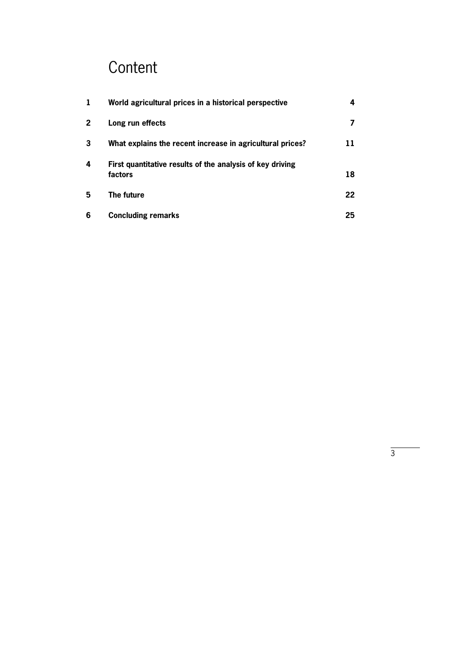# **Content**

| 1            | World agricultural prices in a historical perspective                | 4  |
|--------------|----------------------------------------------------------------------|----|
| $\mathbf{2}$ | Long run effects                                                     | 7  |
| 3            | What explains the recent increase in agricultural prices?            | 11 |
| 4            | First quantitative results of the analysis of key driving<br>factors | 18 |
| 5            | The future                                                           | 22 |
| 6            | <b>Concluding remarks</b>                                            | 25 |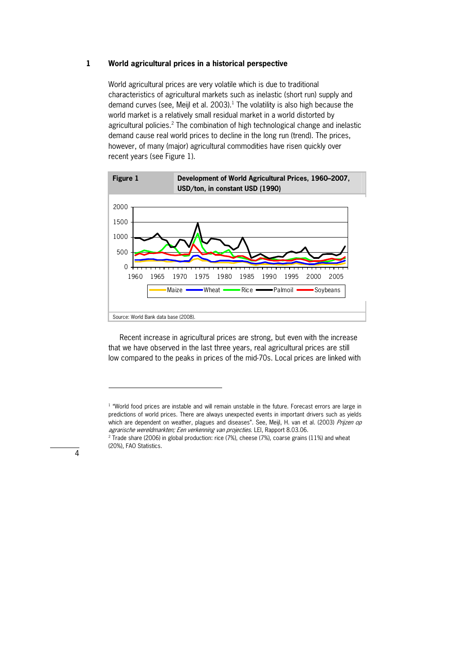## 1 World agricultural prices in a historical perspective

World agricultural prices are very volatile which is due to traditional characteristics of agricultural markets such as inelastic (short run) supply and demand curves (see, Meijl et al. 2003). $^1$  The volatility is also high because the world market is a relatively small residual market in a world distorted by agricultural policies.<sup>2</sup> The combination of high technological change and inelastic demand cause real world prices to decline in the long run (trend). The prices, however, of many (major) agricultural commodities have risen quickly over recent years (see Figure 1).



 Recent increase in agricultural prices are strong, but even with the increase that we have observed in the last three years, real agricultural prices are still low compared to the peaks in prices of the mid-70s. Local prices are linked with

 $\overline{a}$ 

<sup>&</sup>lt;sup>1</sup> "World food prices are instable and will remain unstable in the future. Forecast errors are large in predictions of world prices. There are always unexpected events in important drivers such as yields which are dependent on weather, plagues and diseases". See, Meijl, H. van et al. (2003) Prijzen op agrarische wereldmarkten; Een verkenning van projecties. LEI, Rapport 8.03.06.

<sup>&</sup>lt;sup>2</sup> Trade share (2006) in global production: rice (7%), cheese (7%), coarse grains (11%) and wheat (20%), FAO Statistics.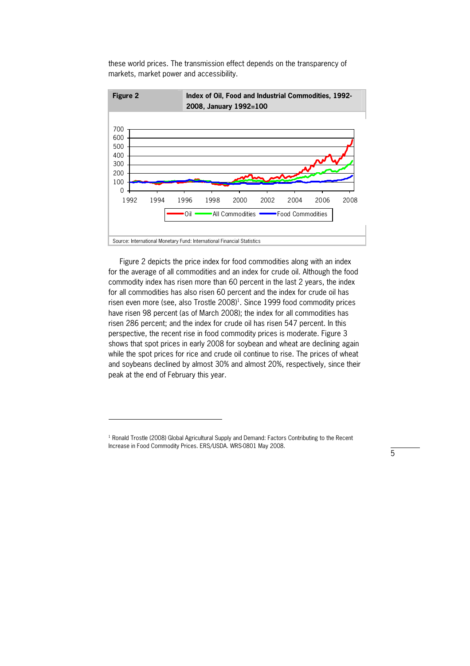these world prices. The transmission effect depends on the transparency of markets, market power and accessibility.



 Figure 2 depicts the price index for food commodities along with an index for the average of all commodities and an index for crude oil. Although the food commodity index has risen more than 60 percent in the last 2 years, the index for all commodities has also risen 60 percent and the index for crude oil has risen even more (see, also Trostle  $2008$ <sup>1</sup>. Since 1999 food commodity prices have risen 98 percent (as of March 2008); the index for all commodities has risen 286 percent; and the index for crude oil has risen 547 percent. In this perspective, the recent rise in food commodity prices is moderate. Figure 3 shows that spot prices in early 2008 for soybean and wheat are declining again while the spot prices for rice and crude oil continue to rise. The prices of wheat and soybeans declined by almost 30% and almost 20%, respectively, since their peak at the end of February this year.

 $\overline{a}$ 

<sup>&</sup>lt;sup>1</sup> Ronald Trostle (2008) Global Agricultural Supply and Demand: Factors Contributing to the Recent Increase in Food Commodity Prices. ERS/USDA. WRS-0801 May 2008.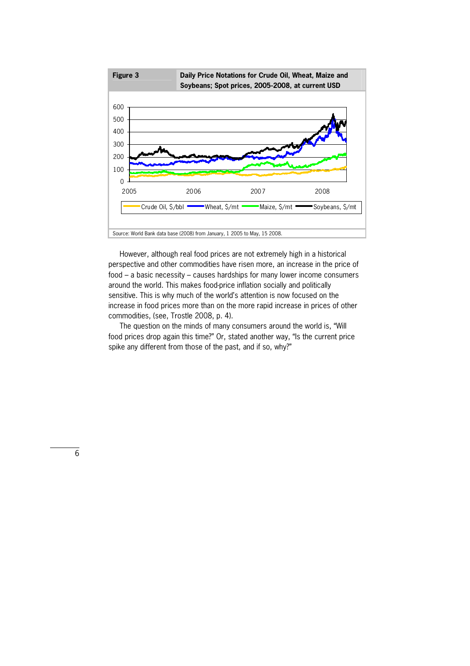

 However, although real food prices are not extremely high in a historical perspective and other commodities have risen more, an increase in the price of food – a basic necessity – causes hardships for many lower income consumers around the world. This makes food-price inflation socially and politically sensitive. This is why much of the world's attention is now focused on the increase in food prices more than on the more rapid increase in prices of other commodities, (see, Trostle 2008, p. 4).

 The question on the minds of many consumers around the world is, "Will food prices drop again this time?" Or, stated another way, "Is the current price spike any different from those of the past, and if so, why?"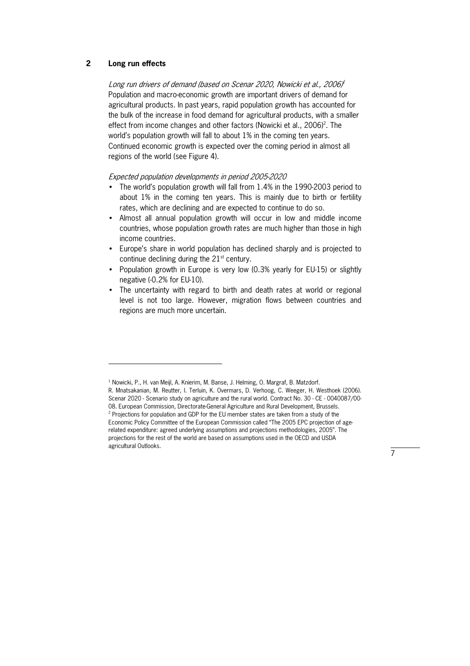# 2 Long run effects

 $\overline{a}$ 

Long run drivers of demand (based on Scenar 2020, Nowicki et al., 2006) 1 Population and macro-economic growth are important drivers of demand for agricultural products. In past years, rapid population growth has accounted for the bulk of the increase in food demand for agricultural products, with a smaller effect from income changes and other factors (Nowicki et al., 2006)<sup>2</sup>. The world's population growth will fall to about 1% in the coming ten years. Continued economic growth is expected over the coming period in almost all regions of the world (see Figure 4).

## Expected population developments in period 2005-2020

- The world's population growth will fall from  $1.4\%$  in the 1990-2003 period to about 1% in the coming ten years. This is mainly due to birth or fertility rates, which are declining and are expected to continue to do so.
- Almost all annual population growth will occur in low and middle income countries, whose population growth rates are much higher than those in high income countries.
- Europe's share in world population has declined sharply and is projected to continue declining during the  $21<sup>st</sup>$  century.
- Population growth in Europe is very low (0.3% yearly for EU-15) or slightly negative  $(-0.2%$  for EU-10).
- The uncertainty with regard to birth and death rates at world or regional level is not too large. However, migration flows between countries and regions are much more uncertain.

<sup>&</sup>lt;sup>1</sup> Nowicki, P., H. van Meijl, A. Knierim, M. Banse, J. Helming, O. Margraf, B. Matzdorf.

R. Mnatsakanian, M. Reutter, I. Terluin, K. Overmars, D. Verhoog, C. Weeger, H. Westhoek (2006). Scenar 2020 - Scenario study on agriculture and the rural world. Contract No. 30 - CE - 0040087/00-08. European Commission, Directorate-General Agriculture and Rural Development, Brussels. <sup>2</sup> Projections for population and GDP for the EU member states are taken from a study of the Economic Policy Committee of the European Commission called "The 2005 EPC projection of agerelated expenditure: agreed underlying assumptions and projections methodologies, 2005". The projections for the rest of the world are based on assumptions used in the OECD and USDA agricultural Outlooks.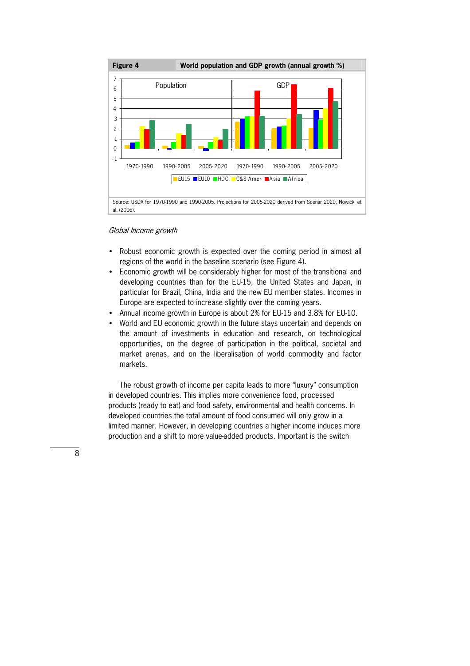

## Global Income growth

- Robust economic growth is expected over the coming period in almost all regions of the world in the baseline scenario (see Figure 4).
- Economic growth will be considerably higher for most of the transitional and developing countries than for the EU-15, the United States and Japan, in particular for Brazil, China, India and the new EU member states. Incomes in Europe are expected to increase slightly over the coming years.
- Annual income growth in Europe is about 2% for EU-15 and 3.8% for EU-10.
- World and EU economic growth in the future stays uncertain and depends on the amount of investments in education and research, on technological opportunities, on the degree of participation in the political, societal and market arenas, and on the liberalisation of world commodity and factor markets.

 The robust growth of income per capita leads to more "luxury" consumption in developed countries. This implies more convenience food, processed products (ready to eat) and food safety, environmental and health concerns. In developed countries the total amount of food consumed will only grow in a limited manner. However, in developing countries a higher income induces more production and a shift to more value-added products. Important is the switch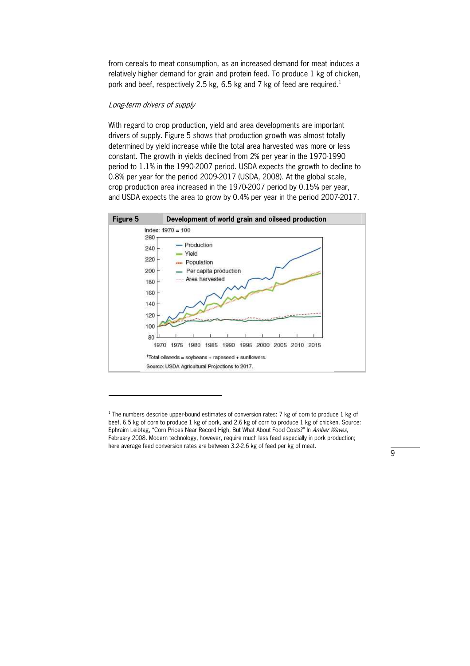from cereals to meat consumption, as an increased demand for meat induces a relatively higher demand for grain and protein feed. To produce 1 kg of chicken, pork and beef, respectively 2.5 kg, 6.5 kg and 7 kg of feed are required.<sup>1</sup>

# Long-term drivers of supply

 $\overline{a}$ 

With regard to crop production, yield and area developments are important drivers of supply. Figure 5 shows that production growth was almost totally determined by yield increase while the total area harvested was more or less constant. The growth in yields declined from 2% per year in the 1970-1990 period to 1.1% in the 1990-2007 period. USDA expects the growth to decline to 0.8% per year for the period 2009-2017 (USDA, 2008). At the global scale, crop production area increased in the 1970-2007 period by 0.15% per year, and USDA expects the area to grow by 0.4% per year in the period 2007-2017.



<sup>&</sup>lt;sup>1</sup> The numbers describe upper-bound estimates of conversion rates: 7 kg of corn to produce 1 kg of beef, 6.5 kg of corn to produce 1 kg of pork, and 2.6 kg of corn to produce 1 kg of chicken. Source: Ephraim Leibtag, "Corn Prices Near Record High, But What About Food Costs?" In Amber Waves, February 2008. Modern technology, however, require much less feed especially in pork production; here average feed conversion rates are between 3.2-2.6 kg of feed per kg of meat.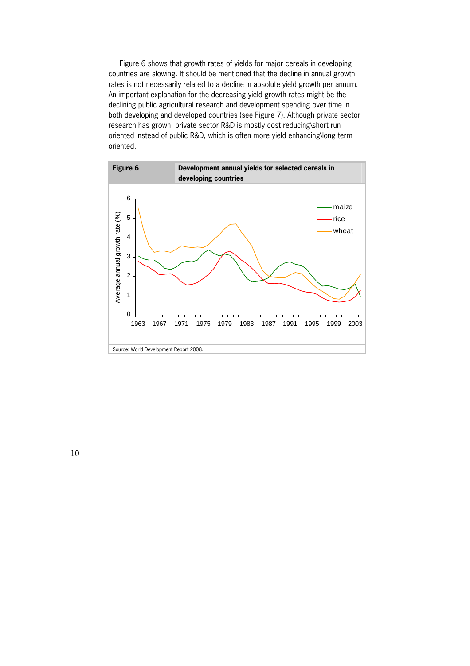Figure 6 shows that growth rates of yields for major cereals in developing countries are slowing. It should be mentioned that the decline in annual growth rates is not necessarily related to a decline in absolute yield growth per annum. An important explanation for the decreasing yield growth rates might be the declining public agricultural research and development spending over time in both developing and developed countries (see Figure 7). Although private sector research has grown, private sector R&D is mostly cost reducing\short run oriented instead of public R&D, which is often more yield enhancing\long term oriented.

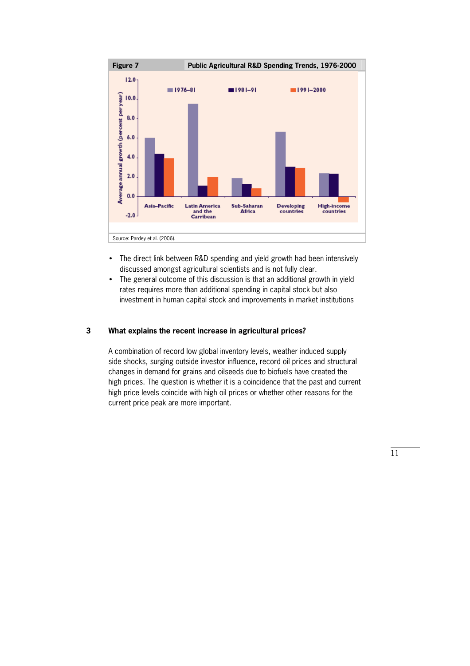

- The direct link between R&D spending and yield growth had been intensively discussed amongst agricultural scientists and is not fully clear.
- The general outcome of this discussion is that an additional growth in yield rates requires more than additional spending in capital stock but also investment in human capital stock and improvements in market institutions

# 3 What explains the recent increase in agricultural prices?

A combination of record low global inventory levels, weather induced supply side shocks, surging outside investor influence, record oil prices and structural changes in demand for grains and oilseeds due to biofuels have created the high prices. The question is whether it is a coincidence that the past and current high price levels coincide with high oil prices or whether other reasons for the current price peak are more important.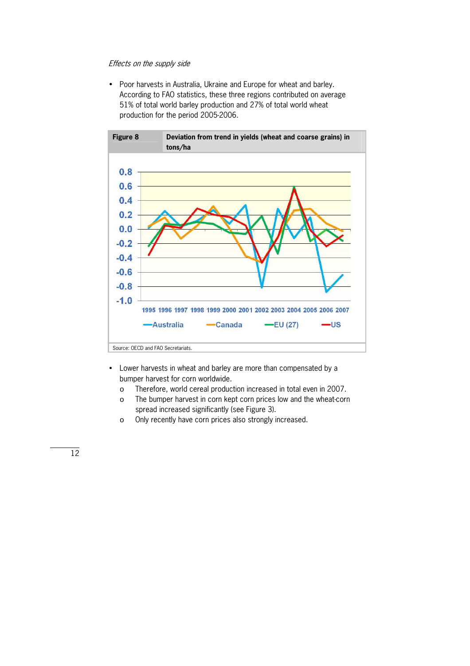## Effects on the supply side

• Poor harvests in Australia, Ukraine and Europe for wheat and barley. According to FAO statistics, these three regions contributed on average 51% of total world barley production and 27% of total world wheat production for the period 2005-2006.



- Lower harvests in wheat and barley are more than compensated by a bumper harvest for corn worldwide.
	- o Therefore, world cereal production increased in total even in 2007.
	- o The bumper harvest in corn kept corn prices low and the wheat-corn spread increased significantly (see Figure 3).
	- o Only recently have corn prices also strongly increased.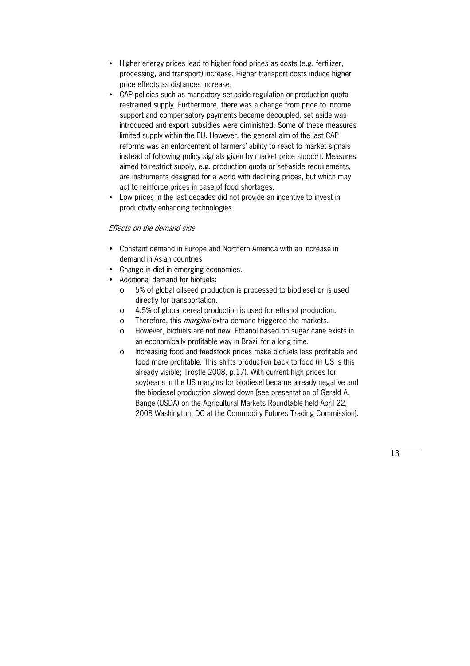- Higher energy prices lead to higher food prices as costs (e.g. fertilizer, processing, and transport) increase. Higher transport costs induce higher price effects as distances increase.
- CAP policies such as mandatory set-aside regulation or production quota restrained supply. Furthermore, there was a change from price to income support and compensatory payments became decoupled, set aside was introduced and export subsidies were diminished. Some of these measures limited supply within the EU. However, the general aim of the last CAP reforms was an enforcement of farmers' ability to react to market signals instead of following policy signals given by market price support. Measures aimed to restrict supply, e.g. production quota or set-aside requirements, are instruments designed for a world with declining prices, but which may act to reinforce prices in case of food shortages.
- Low prices in the last decades did not provide an incentive to invest in productivity enhancing technologies.

# Effects on the demand side

- Constant demand in Europe and Northern America with an increase in demand in Asian countries
- Change in diet in emerging economies.
- Additional demand for biofuels:
	- 5% of global oilseed production is processed to biodiesel or is used directly for transportation.
	- o 4.5% of global cereal production is used for ethanol production.
	- o Therefore, this *marginal* extra demand triggered the markets.
	- o However, biofuels are not new. Ethanol based on sugar cane exists in an economically profitable way in Brazil for a long time.
	- o Increasing food and feedstock prices make biofuels less profitable and food more profitable. This shifts production back to food (in US is this already visible; Trostle 2008, p.17). With current high prices for soybeans in the US margins for biodiesel became already negative and the biodiesel production slowed down [see presentation of Gerald A. Bange (USDA) on the Agricultural Markets Roundtable held April 22, 2008 Washington, DC at the Commodity Futures Trading Commission].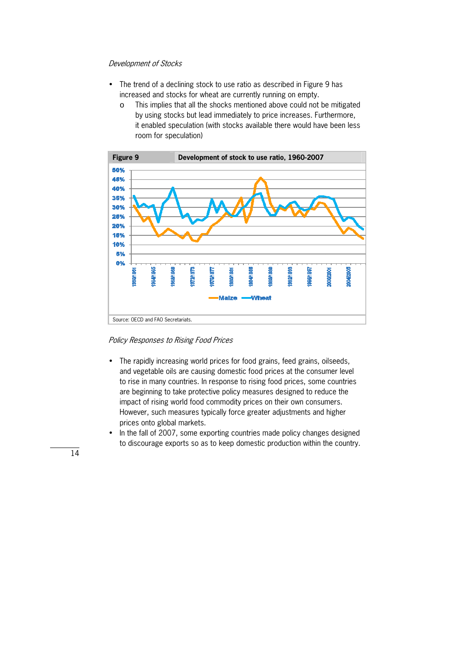## Development of Stocks

- The trend of a declining stock to use ratio as described in Figure 9 has increased and stocks for wheat are currently running on empty.
	- o This implies that all the shocks mentioned above could not be mitigated by using stocks but lead immediately to price increases. Furthermore, it enabled speculation (with stocks available there would have been less room for speculation)



Policy Responses to Rising Food Prices

- The rapidly increasing world prices for food grains, feed grains, oilseeds, and vegetable oils are causing domestic food prices at the consumer level to rise in many countries. In response to rising food prices, some countries are beginning to take protective policy measures designed to reduce the impact of rising world food commodity prices on their own consumers. However, such measures typically force greater adjustments and higher prices onto global markets.
- In the fall of 2007, some exporting countries made policy changes designed to discourage exports so as to keep domestic production within the country.

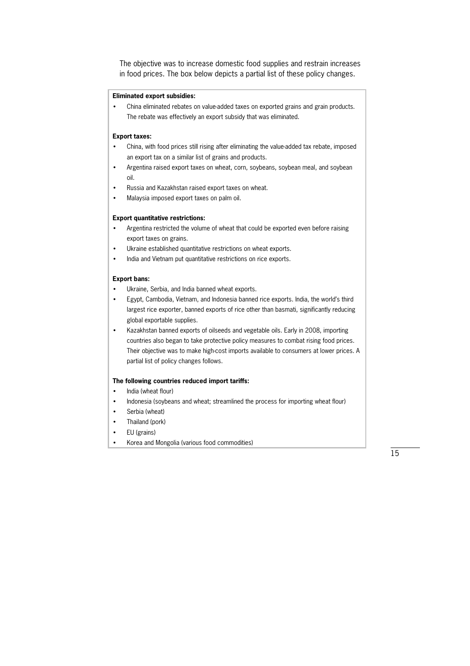The objective was to increase domestic food supplies and restrain increases in food prices. The box below depicts a partial list of these policy changes.

#### Eliminated export subsidies:

China eliminated rebates on value-added taxes on exported grains and grain products. The rebate was effectively an export subsidy that was eliminated.

## Export taxes:

- China, with food prices still rising after eliminating the value-added tax rebate, imposed an export tax on a similar list of grains and products.
- Argentina raised export taxes on wheat, corn, soybeans, soybean meal, and soybean oil.
- Russia and Kazakhstan raised export taxes on wheat.
- Malaysia imposed export taxes on palm oil.

#### Export quantitative restrictions:

- Argentina restricted the volume of wheat that could be exported even before raising export taxes on grains.
- Ukraine established quantitative restrictions on wheat exports.
- India and Vietnam put quantitative restrictions on rice exports.

#### Export bans:

- Ukraine, Serbia, and India banned wheat exports.
- Egypt, Cambodia, Vietnam, and Indonesia banned rice exports. India, the world's third largest rice exporter, banned exports of rice other than basmati, significantly reducing global exportable supplies.
- Kazakhstan banned exports of oilseeds and vegetable oils. Early in 2008, importing countries also began to take protective policy measures to combat rising food prices. Their objective was to make high-cost imports available to consumers at lower prices. A partial list of policy changes follows.

#### The following countries reduced import tariffs:

- India (wheat flour)
- Indonesia (soybeans and wheat; streamlined the process for importing wheat flour)
- Serbia (wheat)
- Thailand (pork)
- EU (grains)
- Korea and Mongolia (various food commodities)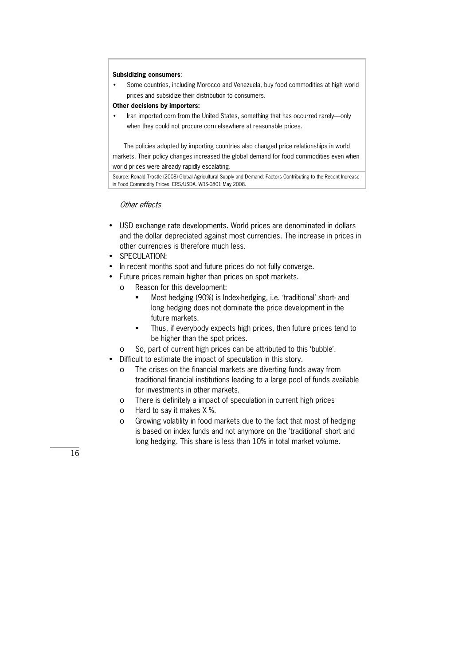#### Subsidizing consumers:

• Some countries, including Morocco and Venezuela, buy food commodities at high world prices and subsidize their distribution to consumers.

#### Other decisions by importers:

• Iran imported corn from the United States, something that has occurred rarely—only when they could not procure corn elsewhere at reasonable prices.

 The policies adopted by importing countries also changed price relationships in world markets. Their policy changes increased the global demand for food commodities even when world prices were already rapidly escalating.

Source: Ronald Trostle (2008) Global Agricultural Supply and Demand: Factors Contributing to the Recent Increase in Food Commodity Prices. ERS/USDA. WRS-0801 May 2008.

# Other effects

- USD exchange rate developments. World prices are denominated in dollars and the dollar depreciated against most currencies. The increase in prices in other currencies is therefore much less.
- SPECULATION:
- In recent months spot and future prices do not fully converge.
- Future prices remain higher than prices on spot markets.
	- o Reason for this development:
		- Most hedging (90%) is Index-hedging, i.e. 'traditional' short- and long hedging does not dominate the price development in the future markets.
		- Thus, if everybody expects high prices, then future prices tend to be higher than the spot prices.
	- o So, part of current high prices can be attributed to this 'bubble'.
- Difficult to estimate the impact of speculation in this story.
	- o The crises on the financial markets are diverting funds away from traditional financial institutions leading to a large pool of funds available for investments in other markets.
	- o There is definitely a impact of speculation in current high prices
	- o Hard to say it makes X %.
	- o Growing volatility in food markets due to the fact that most of hedging is based on index funds and not anymore on the 'traditional' short and long hedging. This share is less than 10% in total market volume.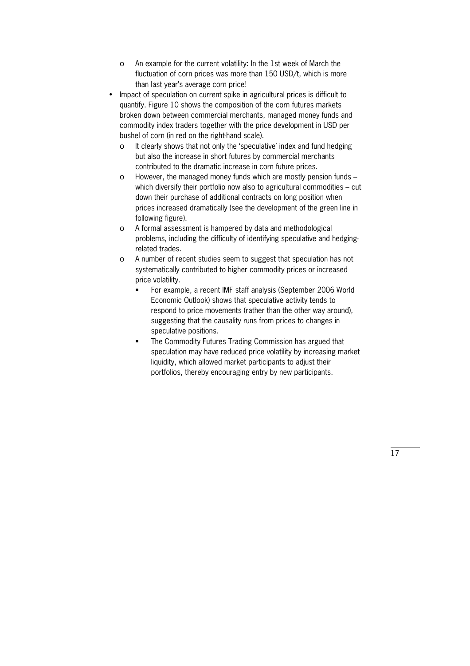- o An example for the current volatility: In the 1st week of March the fluctuation of corn prices was more than 150 USD/t, which is more than last year's average corn price!
- Impact of speculation on current spike in agricultural prices is difficult to quantify. Figure 10 shows the composition of the corn futures markets broken down between commercial merchants, managed money funds and commodity index traders together with the price development in USD per bushel of corn (in red on the right-hand scale).
	- o It clearly shows that not only the 'speculative' index and fund hedging but also the increase in short futures by commercial merchants contributed to the dramatic increase in corn future prices.
	- o However, the managed money funds which are mostly pension funds which diversify their portfolio now also to agricultural commodities – cut down their purchase of additional contracts on long position when prices increased dramatically (see the development of the green line in following figure).
	- o A formal assessment is hampered by data and methodological problems, including the difficulty of identifying speculative and hedgingrelated trades.
	- o A number of recent studies seem to suggest that speculation has not systematically contributed to higher commodity prices or increased price volatility.
		- For example, a recent IMF staff analysis (September 2006 World Economic Outlook) shows that speculative activity tends to respond to price movements (rather than the other way around), suggesting that the causality runs from prices to changes in speculative positions.
		- The Commodity Futures Trading Commission has argued that speculation may have reduced price volatility by increasing market liquidity, which allowed market participants to adjust their portfolios, thereby encouraging entry by new participants.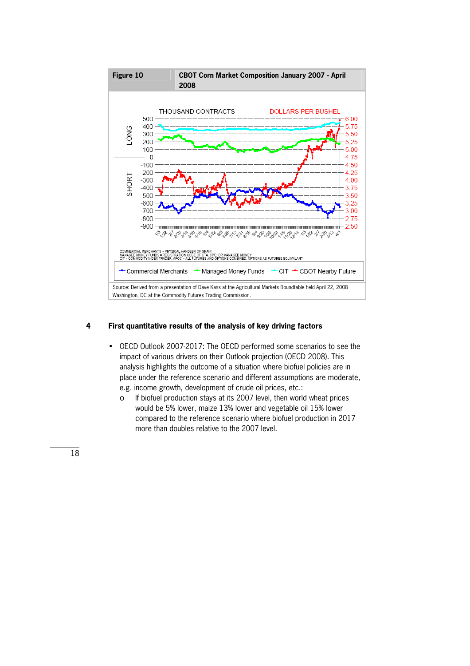

# 4 First quantitative results of the analysis of key driving factors

- OECD Outlook 2007-2017: The OECD performed some scenarios to see the impact of various drivers on their Outlook projection (OECD 2008). This analysis highlights the outcome of a situation where biofuel policies are in place under the reference scenario and different assumptions are moderate, e.g. income growth, development of crude oil prices, etc.:
	- o If biofuel production stays at its 2007 level, then world wheat prices would be 5% lower, maize 13% lower and vegetable oil 15% lower compared to the reference scenario where biofuel production in 2017 more than doubles relative to the 2007 level.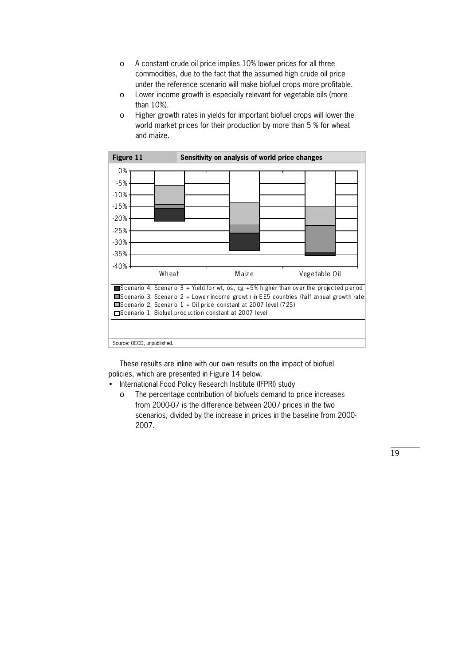- o A constant crude oil price implies 10% lower prices for all three commodities, due to the fact that the assumed high crude oil price under the reference scenario will make biofuel crops more profitable.
- o Lower income growth is especially relevant for vegetable oils (more than 10%).
- o Higher growth rates in yields for important biofuel crops will lower the world market prices for their production by more than 5 % for wheat and maize.



 These results are inline with our own results on the impact of biofuel policies, which are presented in Figure 14 below.

- International Food Policy Research Institute (IFPRI) study
	- o The percentage contribution of biofuels demand to price increases from 2000-07 is the difference between 2007 prices in the two scenarios, divided by the increase in prices in the baseline from 2000-2007.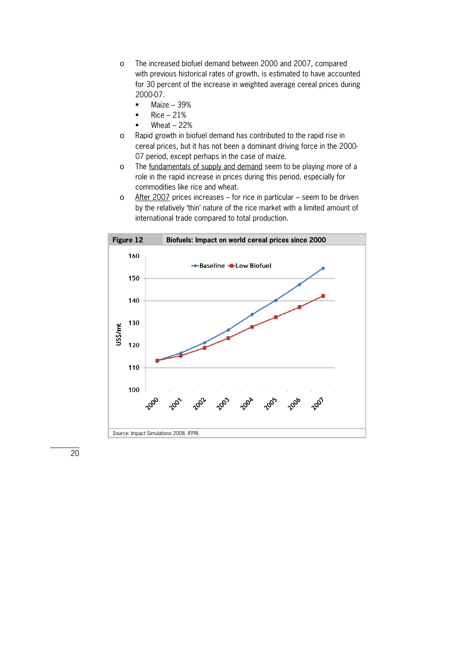- o The increased biofuel demand between 2000 and 2007, compared with previous historical rates of growth, is estimated to have accounted for 30 percent of the increase in weighted average cereal prices during 2000-07.
	- $M$ aize 39%
	- $\blacksquare$  Rice 21%
	- Wheat  $-22%$
- o Rapid growth in biofuel demand has contributed to the rapid rise in cereal prices, but it has not been a dominant driving force in the 2000-07 period, except perhaps in the case of maize.
- o The fundamentals of supply and demand seem to be playing more of a role in the rapid increase in prices during this period, especially for commodities like rice and wheat.
- $\circ$  After 2007 prices increases for rice in particular seem to be driven by the relatively 'thin' nature of the rice market with a limited amount of international trade compared to total production.

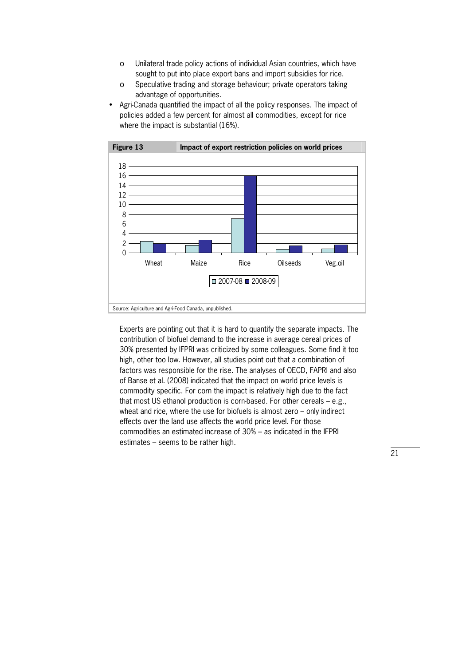- o Unilateral trade policy actions of individual Asian countries, which have sought to put into place export bans and import subsidies for rice.
- o Speculative trading and storage behaviour; private operators taking advantage of opportunities.
- Agri-Canada quantified the impact of all the policy responses. The impact of policies added a few percent for almost all commodities, except for rice where the impact is substantial (16%).



 Experts are pointing out that it is hard to quantify the separate impacts. The contribution of biofuel demand to the increase in average cereal prices of 30% presented by IFPRI was criticized by some colleagues. Some find it too high, other too low. However, all studies point out that a combination of factors was responsible for the rise. The analyses of OECD, FAPRI and also of Banse et al. (2008) indicated that the impact on world price levels is commodity specific. For corn the impact is relatively high due to the fact that most US ethanol production is corn-based. For other cereals – e.g., wheat and rice, where the use for biofuels is almost zero – only indirect effects over the land use affects the world price level. For those commodities an estimated increase of 30% – as indicated in the IFPRI estimates – seems to be rather high.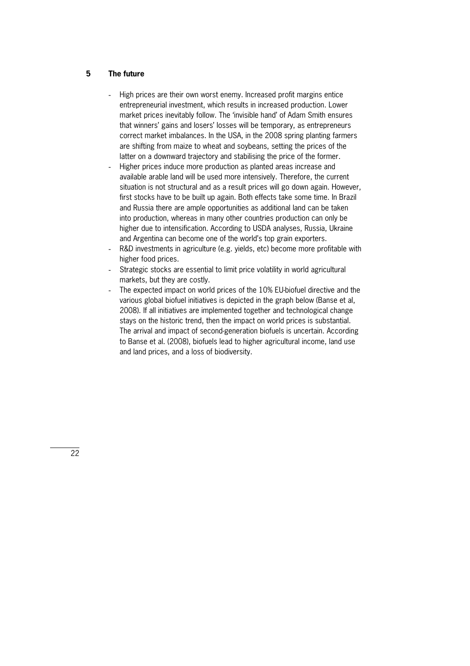# 5 The future

- High prices are their own worst enemy. Increased profit margins entice entrepreneurial investment, which results in increased production. Lower market prices inevitably follow. The 'invisible hand' of Adam Smith ensures that winners' gains and losers' losses will be temporary, as entrepreneurs correct market imbalances. In the USA, in the 2008 spring planting farmers are shifting from maize to wheat and soybeans, setting the prices of the latter on a downward trajectory and stabilising the price of the former.
- Higher prices induce more production as planted areas increase and available arable land will be used more intensively. Therefore, the current situation is not structural and as a result prices will go down again. However, first stocks have to be built up again. Both effects take some time. In Brazil and Russia there are ample opportunities as additional land can be taken into production, whereas in many other countries production can only be higher due to intensification. According to USDA analyses, Russia, Ukraine and Argentina can become one of the world's top grain exporters.
- R&D investments in agriculture (e.g. yields, etc) become more profitable with higher food prices.
- Strategic stocks are essential to limit price volatility in world agricultural markets, but they are costly.
- The expected impact on world prices of the 10% EU-biofuel directive and the various global biofuel initiatives is depicted in the graph below (Banse et al, 2008). If all initiatives are implemented together and technological change stays on the historic trend, then the impact on world prices is substantial. The arrival and impact of second-generation biofuels is uncertain. According to Banse et al. (2008), biofuels lead to higher agricultural income, land use and land prices, and a loss of biodiversity.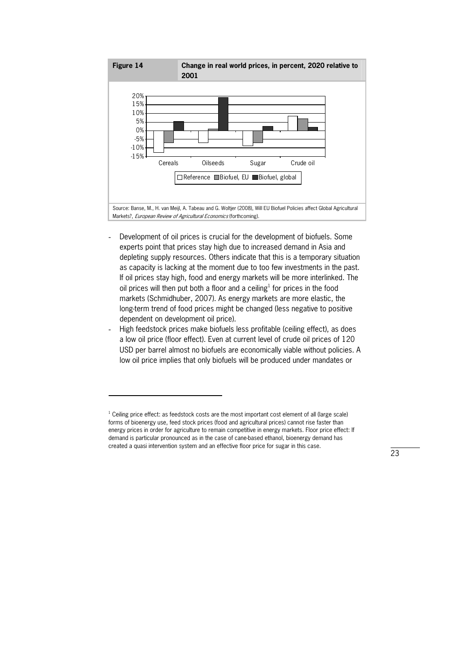

- Development of oil prices is crucial for the development of biofuels. Some experts point that prices stay high due to increased demand in Asia and depleting supply resources. Others indicate that this is a temporary situation as capacity is lacking at the moment due to too few investments in the past. If oil prices stay high, food and energy markets will be more interlinked. The oil prices will then put both a floor and a ceiling<sup>1</sup> for prices in the food markets (Schmidhuber, 2007). As energy markets are more elastic, the long-term trend of food prices might be changed (less negative to positive dependent on development oil price).
- High feedstock prices make biofuels less profitable (ceiling effect), as does a low oil price (floor effect). Even at current level of crude oil prices of 120 USD per barrel almost no biofuels are economically viable without policies. A low oil price implies that only biofuels will be produced under mandates or

 $\overline{a}$ 

<sup>&</sup>lt;sup>1</sup> Ceiling price effect: as feedstock costs are the most important cost element of all (large scale) forms of bioenergy use, feed stock prices (food and agricultural prices) cannot rise faster than energy prices in order for agriculture to remain competitive in energy markets. Floor price effect: If demand is particular pronounced as in the case of cane-based ethanol, bioenergy demand has created a quasi intervention system and an effective floor price for sugar in this case.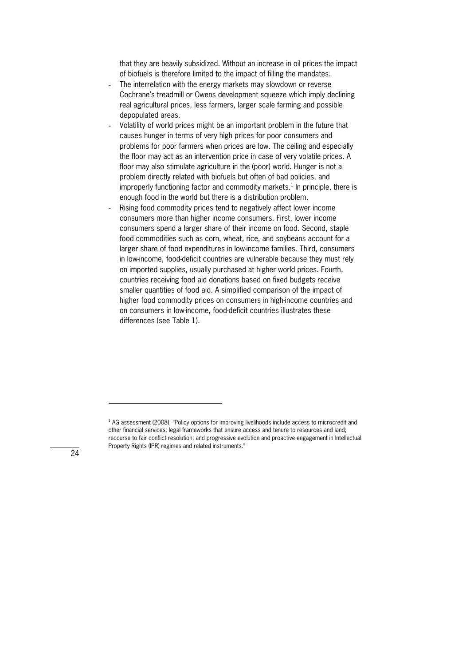that they are heavily subsidized. Without an increase in oil prices the impact of biofuels is therefore limited to the impact of filling the mandates.

- The interrelation with the energy markets may slowdown or reverse Cochrane's treadmill or Owens development squeeze which imply declining real agricultural prices, less farmers, larger scale farming and possible depopulated areas.
- Volatility of world prices might be an important problem in the future that causes hunger in terms of very high prices for poor consumers and problems for poor farmers when prices are low. The ceiling and especially the floor may act as an intervention price in case of very volatile prices. A floor may also stimulate agriculture in the (poor) world. Hunger is not a problem directly related with biofuels but often of bad policies, and improperly functioning factor and commodity markets.<sup>1</sup> In principle, there is enough food in the world but there is a distribution problem.
- Rising food commodity prices tend to negatively affect lower income consumers more than higher income consumers. First, lower income consumers spend a larger share of their income on food. Second, staple food commodities such as corn, wheat, rice, and soybeans account for a larger share of food expenditures in low-income families. Third, consumers in low-income, food-deficit countries are vulnerable because they must rely on imported supplies, usually purchased at higher world prices. Fourth, countries receiving food aid donations based on fixed budgets receive smaller quantities of food aid. A simplified comparison of the impact of higher food commodity prices on consumers in high-income countries and on consumers in low-income, food-deficit countries illustrates these differences (see Table 1).

 $\overline{a}$ 

<sup>&</sup>lt;sup>1</sup> AG assessment (2008), "Policy options for improving livelihoods include access to microcredit and other financial services; legal frameworks that ensure access and tenure to resources and land; recourse to fair conflict resolution; and progressive evolution and proactive engagement in Intellectual Property Rights (IPR) regimes and related instruments."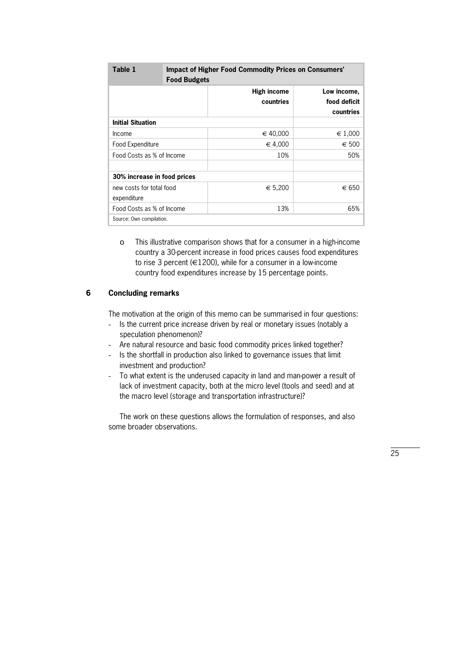| Table 1                     | <b>Impact of Higher Food Commodity Prices on Consumers'</b><br><b>Food Budgets</b> |                                 |                             |  |  |
|-----------------------------|------------------------------------------------------------------------------------|---------------------------------|-----------------------------|--|--|
|                             |                                                                                    | <b>High income</b><br>countries | Low income,<br>food deficit |  |  |
|                             |                                                                                    |                                 | countries                   |  |  |
| <b>Initial Situation</b>    |                                                                                    |                                 |                             |  |  |
| Income                      |                                                                                    | € 40,000                        | $\epsilon$ 1,000            |  |  |
| Food Expenditure            |                                                                                    | $\in 4.000$                     | € 500                       |  |  |
| Food Costs as % of Income   |                                                                                    | 10%                             | 50%                         |  |  |
|                             |                                                                                    |                                 |                             |  |  |
| 30% increase in food prices |                                                                                    |                                 |                             |  |  |
| new costs for total food    |                                                                                    | € 5,200                         | € 650                       |  |  |
| expenditure                 |                                                                                    |                                 |                             |  |  |
| Food Costs as % of Income   |                                                                                    | 13%                             | 65%                         |  |  |
| Source: Own compilation.    |                                                                                    |                                 |                             |  |  |

o This illustrative comparison shows that for a consumer in a high-income country a 30-percent increase in food prices causes food expenditures to rise 3 percent ( $\in$ 1200), while for a consumer in a low-income country food expenditures increase by 15 percentage points.

# 6 Concluding remarks

The motivation at the origin of this memo can be summarised in four questions:

- Is the current price increase driven by real or monetary issues (notably a speculation phenomenon)?
- Are natural resource and basic food commodity prices linked together?
- Is the shortfall in production also linked to governance issues that limit investment and production?
- To what extent is the underused capacity in land and man-power a result of lack of investment capacity, both at the micro level (tools and seed) and at the macro level (storage and transportation infrastructure)?

 The work on these questions allows the formulation of responses, and also some broader observations.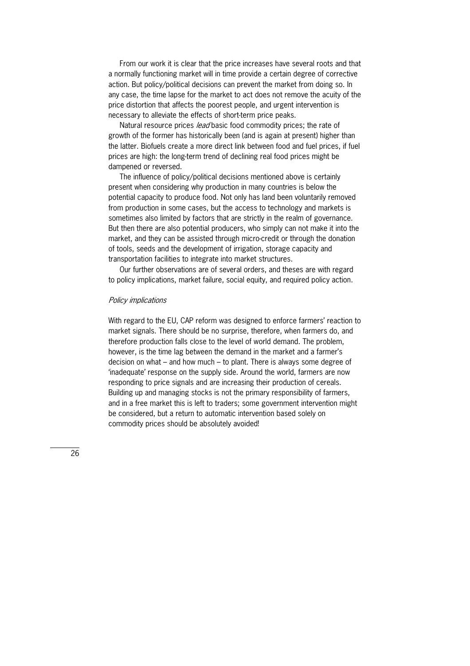From our work it is clear that the price increases have several roots and that a normally functioning market will in time provide a certain degree of corrective action. But policy/political decisions can prevent the market from doing so. In any case, the time lapse for the market to act does not remove the acuity of the price distortion that affects the poorest people, and urgent intervention is necessary to alleviate the effects of short-term price peaks.

Natural resource prices lead basic food commodity prices; the rate of growth of the former has historically been (and is again at present) higher than the latter. Biofuels create a more direct link between food and fuel prices, if fuel prices are high: the long-term trend of declining real food prices might be dampened or reversed.

 The influence of policy/political decisions mentioned above is certainly present when considering why production in many countries is below the potential capacity to produce food. Not only has land been voluntarily removed from production in some cases, but the access to technology and markets is sometimes also limited by factors that are strictly in the realm of governance. But then there are also potential producers, who simply can not make it into the market, and they can be assisted through micro-credit or through the donation of tools, seeds and the development of irrigation, storage capacity and transportation facilities to integrate into market structures.

 Our further observations are of several orders, and theses are with regard to policy implications, market failure, social equity, and required policy action.

#### Policy implications

With regard to the EU, CAP reform was designed to enforce farmers' reaction to market signals. There should be no surprise, therefore, when farmers do, and therefore production falls close to the level of world demand. The problem, however, is the time lag between the demand in the market and a farmer's decision on what – and how much – to plant. There is always some degree of 'inadequate' response on the supply side. Around the world, farmers are now responding to price signals and are increasing their production of cereals. Building up and managing stocks is not the primary responsibility of farmers, and in a free market this is left to traders; some government intervention might be considered, but a return to automatic intervention based solely on commodity prices should be absolutely avoided!